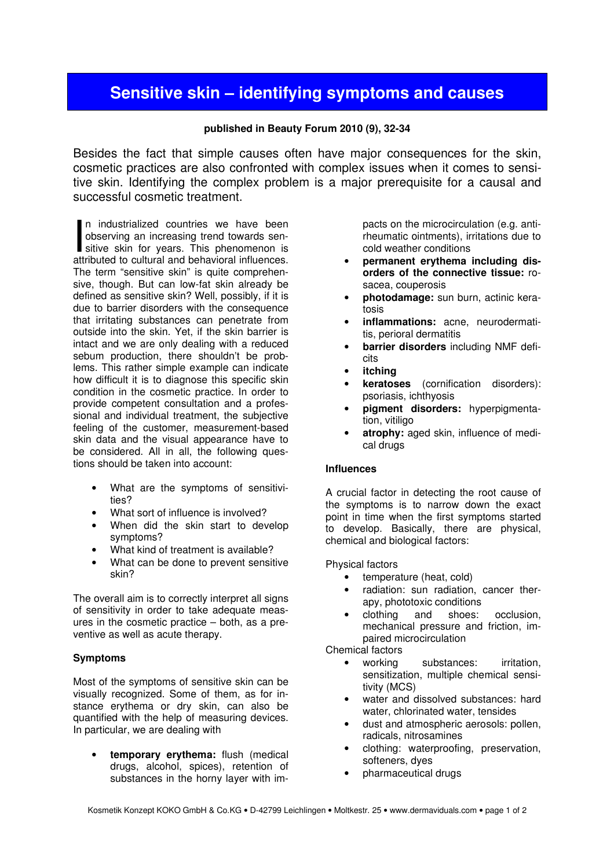# Sensitive skin – identifying symptoms and causes

## published in Beauty Forum 2010 (9), 32-34

Besides the fact that simple causes often have major consequences for the skin, cosmetic practices are also confronted with complex issues when it comes to sensitive skin. Identifying the complex problem is a major prerequisite for a causal and successful cosmetic treatment.

n industrialized countries we have been observing an increasing trend towards sen-In industrialized countries we have been<br>observing an increasing trend towards sensitive skin for years. This phenomenon is<br>attributed to cultural and behavioral influences attributed to cultural and behavioral influences. The term "sensitive skin" is quite comprehensive, though. But can low-fat skin already be defined as sensitive skin? Well, possibly, if it is due to barrier disorders with the consequence that irritating substances can penetrate from outside into the skin. Yet, if the skin barrier is intact and we are only dealing with a reduced sebum production, there shouldn't be problems. This rather simple example can indicate how difficult it is to diagnose this specific skin condition in the cosmetic practice. In order to provide competent consultation and a professional and individual treatment, the subjective feeling of the customer, measurement-based skin data and the visual appearance have to be considered. All in all, the following questions should be taken into account:

- What are the symptoms of sensitivities?
- What sort of influence is involved?
- When did the skin start to develop symptoms?
- What kind of treatment is available?
- What can be done to prevent sensitive skin?

The overall aim is to correctly interpret all signs of sensitivity in order to take adequate measures in the cosmetic practice – both, as a preventive as well as acute therapy.

## Symptoms

Most of the symptoms of sensitive skin can be visually recognized. Some of them, as for instance erythema or dry skin, can also be quantified with the help of measuring devices. In particular, we are dealing with

temporary erythema: flush (medical drugs, alcohol, spices), retention of substances in the horny layer with impacts on the microcirculation (e.g. antirheumatic ointments), irritations due to cold weather conditions

- permanent erythema including disorders of the connective tissue: rosacea, couperosis
- photodamage: sun burn, actinic keratosis
- inflammations: acne, neurodermatitis, perioral dermatitis
- barrier disorders including NMF deficits
- **itching**
- keratoses (cornification disorders): psoriasis, ichthyosis
- pigment disorders: hyperpigmentation, vitiligo
- atrophy: aged skin, influence of medical drugs

## Influences

A crucial factor in detecting the root cause of the symptoms is to narrow down the exact point in time when the first symptoms started to develop. Basically, there are physical, chemical and biological factors:

#### Physical factors

- temperature (heat, cold)
- radiation: sun radiation, cancer therapy, phototoxic conditions
- clothing and shoes: occlusion, mechanical pressure and friction, impaired microcirculation

Chemical factors

- working substances: irritation, sensitization, multiple chemical sensitivity (MCS)
- water and dissolved substances: hard water, chlorinated water, tensides
- dust and atmospheric aerosols: pollen, radicals, nitrosamines
- clothing: waterproofing, preservation, softeners, dyes
- pharmaceutical drugs